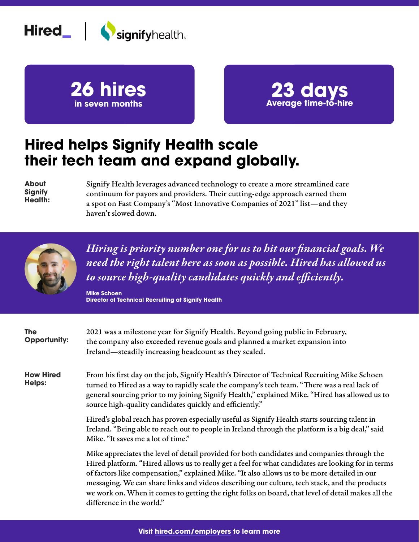





## **Hired helps Signify Health scale their tech team and expand globally.**

**About Signify Health:** Signify Health leverages advanced technology to create a more streamlined care continuum for payors and providers. Their cutting-edge approach earned them a spot on Fast Company's "Most Innovative Companies of 2021" list—and they haven't slowed down.



*Hiring is priority number one for us to hit our financial goals. We need the right talent here as soon as possible. Hired has allowed us to source high-quality candidates quickly and efficiently.*

**Mike Schoen Director of Technical Recruiting at Signify Health**

| <b>The</b><br><b>Opportunity:</b> | 2021 was a milestone year for Signify Health. Beyond going public in February,<br>the company also exceeded revenue goals and planned a market expansion into<br>Ireland—steadily increasing headcount as they scaled.                                                                                                                                                                                                                                                                                                               |  |
|-----------------------------------|--------------------------------------------------------------------------------------------------------------------------------------------------------------------------------------------------------------------------------------------------------------------------------------------------------------------------------------------------------------------------------------------------------------------------------------------------------------------------------------------------------------------------------------|--|
| <b>How Hired</b><br><b>Helps:</b> | From his first day on the job, Signify Health's Director of Technical Recruiting Mike Schoen<br>turned to Hired as a way to rapidly scale the company's tech team. "There was a real lack of<br>general sourcing prior to my joining Signify Health," explained Mike. "Hired has allowed us to<br>source high-quality candidates quickly and efficiently."                                                                                                                                                                           |  |
|                                   | Hired's global reach has proven especially useful as Signify Health starts sourcing talent in<br>Ireland. "Being able to reach out to people in Ireland through the platform is a big deal," said<br>Mike. "It saves me a lot of time."                                                                                                                                                                                                                                                                                              |  |
|                                   | Mike appreciates the level of detail provided for both candidates and companies through the<br>Hired platform. "Hired allows us to really get a feel for what candidates are looking for in terms<br>of factors like compensation," explained Mike. "It also allows us to be more detailed in our<br>messaging. We can share links and videos describing our culture, tech stack, and the products<br>we work on. When it comes to getting the right folks on board, that level of detail makes all the<br>difference in the world." |  |